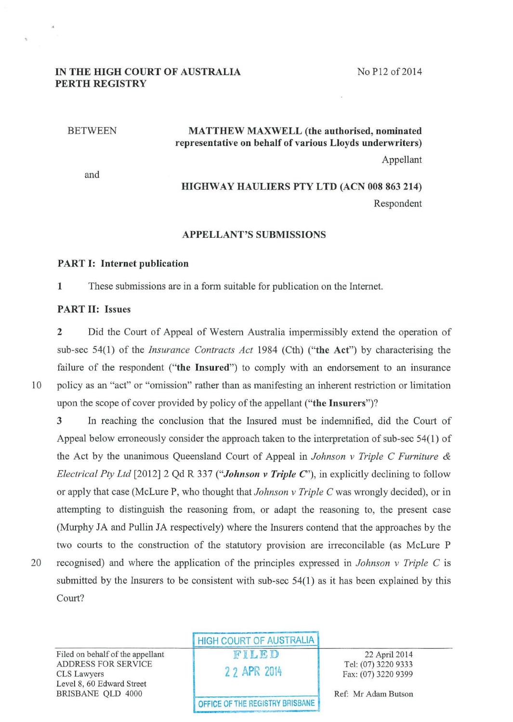No P12 of 2014

### IN THE HIGH COURT OF AUSTRALIA PERTH REGISTRY

#### **BETWEEN**

# MATTHEW MAXWELL (the authorised, nominated representative on behalf of various Lloyds underwriters) Appellant

and

# HIGHWAY HAULIERS PTY LTD (ACN 008 863 214) Respondent

#### APPELLANT'S SUBMISSIONS

#### PART I: Internet publication

1 These submissions are in a form suitable for publication on the Internet.

#### PART II: Issues

2 Did the Court of Appeal of Western Australia impermissibly extend the operation of sub-sec 54(1) of the *Insurance Contracts Act* 1984 (Cth) ("the Act") by characterising the failure of the respondent ("the Insured") to comply with an endorsement to an insurance 10 policy as an "act" or "omission" rather than as manifesting an inherent restriction or limitation upon the scope of cover provided by policy of the appellant ("the Insurers")?

3 In reaching the conclusion that the Insured must be indemnified, did the Court of Appeal below erroneously consider the approach taken to the interpretation of sub-sec 54(1) of the Act by the unanimous Queensland Court of Appeal in *Johnson v Triple C Furniture & Electrical Pty Ltd* [2012] 2 Qd R 337 *("Johnson v Triple* C'), in explicitly declining to follow or apply that case (McLure P, who thought that *Johnson v Triple* C was wrongly decided), or in attempting to distinguish the reasoning from, or adapt the reasoning to, the present case (Murphy JA and Pullin JA respectively) where the Insurers contend that the approaches by the two courts to the construction of the statutory provision are irreconcilable (as McLure P 20 recognised) and where the application of the principles expressed in *Johnson v Triple* C is submitted by the Insurers to be consistent with sub-sec 54(1) as it has been explained by this Court?

Filed on behalf of the appellant  $\blacksquare$   $\blacksquare$   $\blacksquare$   $\blacksquare$   $\blacksquare$   $\blacksquare$   $\blacksquare$   $\blacksquare$   $\blacksquare$   $\blacksquare$   $\blacksquare$   $\blacksquare$   $\blacksquare$   $\blacksquare$   $\blacksquare$   $\blacksquare$   $\blacksquare$   $\blacksquare$   $\blacksquare$   $\blacksquare$   $\blacksquare$   $\blacksquare$   $\blacksquare$   $\blacksquare$   $\blacksquare$   $\blacksquare$   $\blacksquare$  ADDRESS FOR SERVICE ADDRESS FOR SERVICE Tel: (07) 3220 9333<br>CLS Lawyers Fax: (07) 3220 9399 Level 8, 60 Edward Street BRISBANE QLD 4000 **Ref:** Mr Adam Butson

## HIGH COURT OF AUSTRALIA

OFFICE OF THE REGISTRY BRISBANE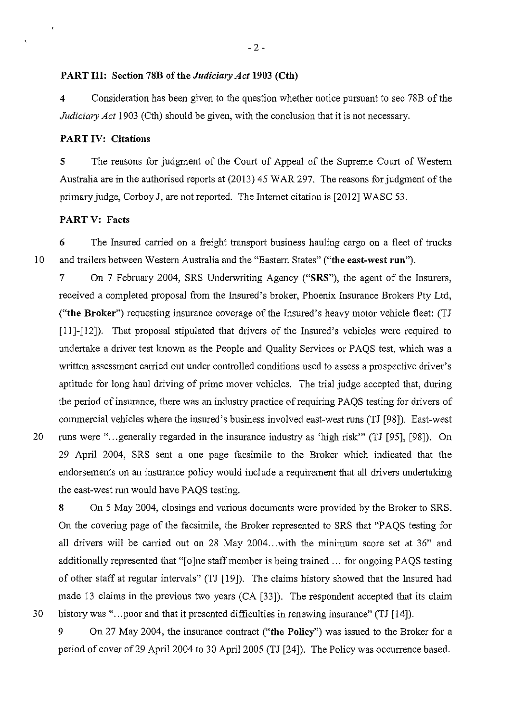#### PART III: Section 78B of the *Judiciary Act* 1903 (Cth)

4 Consideration has been given to the question whether notice pursuant to sec 78B of the *Judiciary Act* 1903 (Cth) should be given, with the conclusion that it is not necessary.

#### PART IV: Citations

5 The reasons for judgment of the Court of Appeal of the Supreme Court of Western Australia are in the authorised reports at (2013) 45 WAR 297. The reasons for judgment of the primary judge, Corboy J, are not reported. The Internet citation is (2012] WASC 53.

#### PART V: Facts

6 The Insured carried on a freight transport business hauling cargo on a fleet of trucks 10 and trailers between Western Australia and the "Eastern States" ("the east-west run").

7 On 7 February 2004, SRS Underwriting Agency ("SRS"), the agent of the Insurers, received a completed proposal from the Insured's broker, Phoenix Insurance Brokers Pty Ltd, ("the Broker") requesting insurance coverage of the Insured's heavy motor vehicle fleet: (TJ [11]-[12]). That proposal stipulated that drivers of the Insured's vehicles were required to undertake a driver test known as the People and Quality Services or PAQS test, which was a written assessment carried out under controlled conditions used to assess a prospective driver's aptitude for long haul driving of prime mover vehicles. The trial judge accepted that, during the period of insurance, there was an industry practice of requiring PAQS testing for drivers of commercial vehicles where the insured's business involved east-west mns (TJ [98]). East-west 20 runs were "... generally regarded in the insurance industry as 'high risk'" (TJ [95], [98]). On 29 April 2004, SRS sent a one page facsimile to the Broker which indicated that the endorsements on an insurance policy would include a requirement that all drivers undertaking the east-west run would have PAQS testing.

8 On 5 May 2004, closings and various documents were provided by the Broker to SRS. On the covering page of the facsimile, the Broker represented to SRS that "PAQS testing for all drivers will be carried out on 28 May 2004...with the minimum score set at 36" and additionally represented that "[o]ne staff member is being trained ... for ongoing PAQS testing of other staff at regular intervals" (TJ (19]). The claims history showed that the Insured had made 13 claims in the previous two years (CA [33]). The respondent accepted that its claim 30 history was "... poor and that it presented difficulties in renewing insurance" (TJ  $[14]$ ).

9 On 27 May 2004, the insurance contract ("the Policy") was issued to the Broker for a period of cover of 29 April 2004 to 30 April 2005 (TJ [24]). The Policy was occurrence based.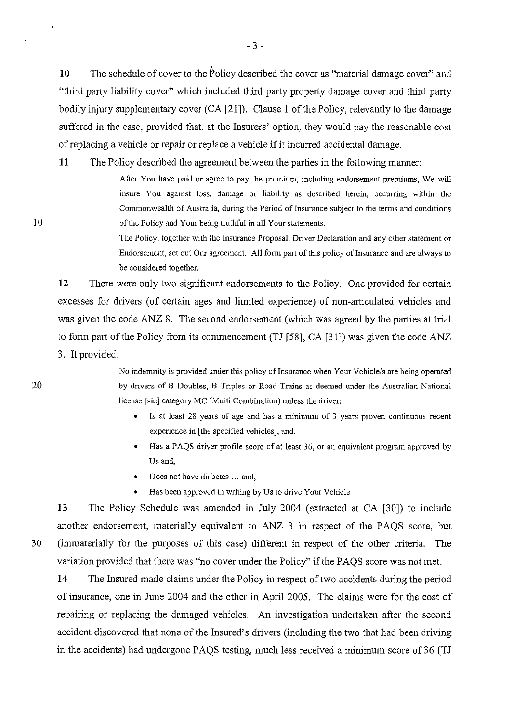10 The schedule of cover to the Policy described the cover as "material damage cover" and "third party liability cover" which included third party property damage cover and third party bodily injury supplementary cover (CA [21]). Clause 1 of the Policy, relevantly to the damage suffered in the case, provided that, at the Insurers' option, they would pay the reasonable cost of replacing a vehicle or repair or replace a vehicle if it incurred accidental damage.

**11** The Policy described the agreement between the parties in the following manner:

After You have paid or agree to pay the premium, including endorsement premiums, We will **insure You against loss, damage or liability as described herein, occurring within the**  Commonwealth of Australia, during the Period of Insurance subject to the terms and conditions of the Policy and Your being truthful in all Your statements.

The Policy, together with the Insurance Proposal, Driver Declaration and any other statement or Endorsement, set out Our agreement. All form part of this policy of Insurance and are always to be considered together.

12 There were only two significant endorsements to the Policy. One provided for certain excesses for drivers (of certain ages and limited experience) of non-articulated vehicles and was given the code ANZ 8. The second endorsement (which was agreed by the parties at trial to fonn part of the Policy from its commencement (TJ [58], CA [31]) was given the code ANZ 3. It provided:

> No indemnity is provided under this policy of Insurance when Your Vehicle/s are being operated by drivers of B Doubles, B Triples or Road Trains as deemed under the Australian National license [sic] category MC (Multi Combination) unless the driver:

- **Is at least 28 years of age and has a minimum of 3 years proven continuous recent**  experience in [the specified vehicles], and,
- Has a PAQS driver profile score of at least 36, or an equivalent program approved by **Us and,**
- Does not have diabetes ... and,
- Has been approved in writing by Us to drive Your Vehicle

13 The Policy Schedule was amended in July 2004 (extracted at CA [30]) to include another endorsement, materially equivalent to ANZ 3 in respect of the PAQS score, but 30 (irmnaterially for the purposes of this case) different in respect of the other criteria. The variation provided that there was "no cover under the Policy" if the PAQS score was not met.

14 The Insured made claims under the Policy in respect of two accidents during the period of insurance, one in June 2004 and the other in April 2005. The claims were for the cost of repairing or replacing the damaged vehicles. An investigation undertaken after the second accident discovered that none of the Insured's drivers (including the two that had been driving in the accidents) had undergone PAQS testing, much less received a minimum score of 36 (TJ

20

10

- 3 -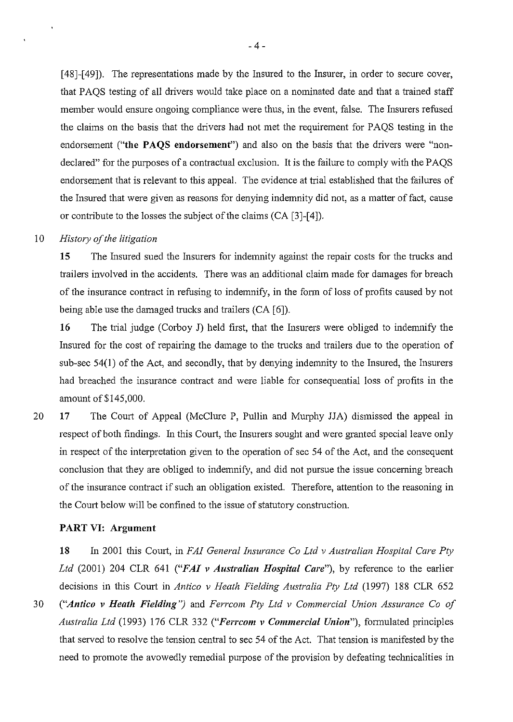[48]-[49]). The representations made by the Insured to the Insurer, in order to secure cover, that PAQS testing of all drivers would take place on a nominated date and that a trained staff member would ensure ongoing compliance were thus, in the event, false. The Insurers refused the claims on the basis that the drivers had not met the requirement for PAQS testing in the endorsement ("the PAQS endorsement") and also on the basis that the drivers were "nondeclared" for the purposes of a contractual exclusion. It is the failure to comply with the PAQS endorsement that is relevant to this appeal. The evidence at trial established that the failures of the Insured that were given as reasons for denying indemnity did not, as a matter of fact, cause or contribute to the losses the subject of the claims (CA [3]-[4]).

#### 10 *History of the litigation*

15 The Insured sued the Insurers for indemnity against the repair costs for the trucks and trailers involved in the accidents. There was an additional claim made for damages for breach of the insurance contract in refusing to indemnifY, in the fonn of loss of profits caused by not being able use the damaged trucks and trailers  $(CA [6])$ .

16 The trial judge (Corboy J) held first, that the Insurers were obliged to indemnify the Insured for the cost of repairing the damage to the trucks and trailers due to the operation of sub-sec 54(1) of the Act, and secondly, that by denying indemnity to the Insured, the Insurers had breached the insurance contract and were liable for consequential loss of profits in the amount of\$145,000.

20 17 The Court of Appeal (McClure P, Pullin and Murphy JJA) dismissed the appeal in respect of both findings. In this Court, the Insurers sought and were granted special leave only in respect of the interpretation given to the operation of sec 54 of the Act, and the consequent conclusion that they are obliged to indemnify, and did not pursue the issue conceming breach of the insurance contract if such an obligation existed. Therefore, attention to the reasoning in the Court below will be confined to the issue of statutory construction.

### PART VI: Argument

18 In 2001 this Court, in *FAI General Insurance Co Ltd v Australian Hospital Care Pty* Ltd (2001) 204 CLR 641 *("FAI v Australian Hospital Care"*), by reference to the earlier decisions in this Court in *Antico v Heath Fielding Australia Pty Ltd* (1997) 188 CLR 652

30 *("Antico v Heath Fielding'')* and *Fen·com Pty Ltd v Commercial Union Assurance Co of Australia Ltd* (1993) 176 CLR 332 *("Ferrcom v Commercial Union"),* formulated principles that served to resolve the tension central to sec 54 of the Act. That tension is manifested by the need to promote the avowedly remedial purpose of the provision by defeating technicalities in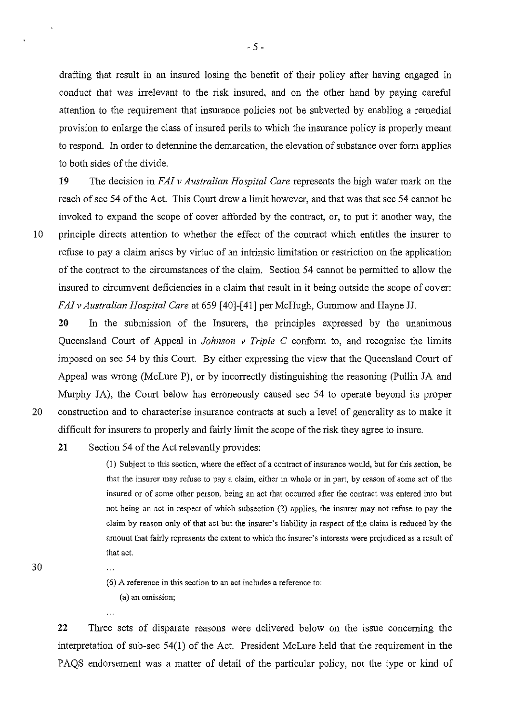drafting that result in an insured losing the benefit of their policy after having engaged in conduct that was irrelevant to the risk insured, and on the other hand by paying careful attention to the requirement that insurance policies not be subverted by enabling a remedial provision to enlarge the class of insured perils to which the insurance policy is properly meant to respond. In order to detennine the demarcation, the elevation of substance over fonn applies to both sides of the divide.

19 The decision in *FA! v Australian Hospital Care* represents the high water mark on the reach of sec 54 of the Act. This Court drew a limit however, and that was that sec 54 cannot be invoked to expand the scope of cover afforded by the contract, or, to put it another way, the 10 principle directs attention to whether the effect of the contract which entitles the insurer to refuse to pay a claim arises by virtue of an intrinsic limitation or restriction on the application of the contract to the circumstances of the claim. Section 54 cannot be pennitted to allow the insured to circumvent deficiencies in a claim that result in it being outside the scope of cover: *FA!v Australian Hospital Care* at 659 [40]-[41] per McHugh, Gummow and Hayne JJ.

20 In the submission of the Insurers, the principles expressed by the unanimous Queensland Court of Appeal in *Johnson v Triple C* conform to, and recognise the limits imposed on sec 54 by this Court. By either expressing the view that the Queensland Court of Appeal was wrong (McLure P), or by incorrectly distinguishing the reasoning (Pullin JA and Murphy JA), the Court below has erroneously caused sec 54 to operate beyond its proper 20 construction and to characterise insurance contracts at such a level of generality as to make it difficult for insurers to properly and fairly limit the scope of the risk they agree to insure.

**21** Section 54 of the Act relevantly provides:

(I) Subject to this section, where the effect of a contract of insurance would, but for this section, be **that the insurer may refuse to pay a claim, either in whole or in part, by reason of some act of the insured or of some other person, being an act that occurred after the contract was entered into but**  not being an act in respect of which subsection (2) applies, the insurer may not refuse to pay the claim by reason only of that act but the insurer's liability in respect of the claim is reduced by the **amount that fairly represents the extent to which the insurer's interests were prejudiced as a result of**  that act.

30

 $\ddot{\phantom{a}}$ 

**(6) A reference in this section to an act includes a reference to:** 

**(a) an omission;** 

 $\overline{a}$ 

22 Three sets of disparate reasons were delivered below on the issue concerning the interpretation of sub-sec 54(1) of the Act. President McLure held that the requirement in the PAQS endorsement was a matter of detail of the particular policy, not the type or kind of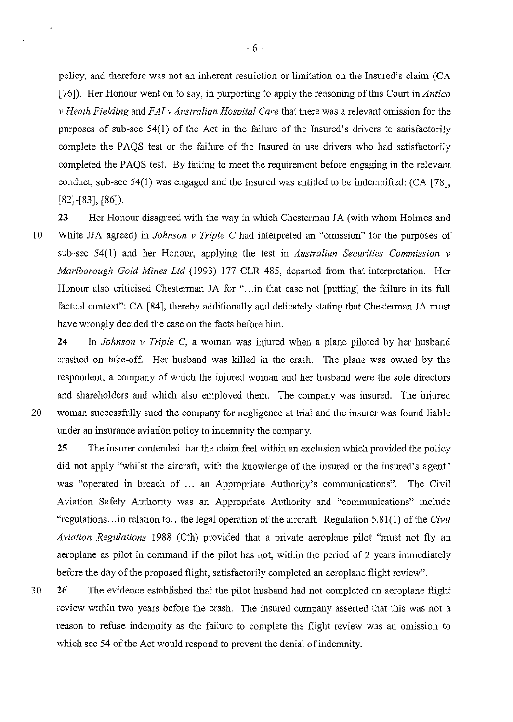policy, and therefore was not an inherent restriction or limitation on the Insured's claim (CA [76]). Her Honour went on to say, in purporting to apply the reasoning of this Court in *Antico v Heath Fielding* and *FA! v Australian Hospital Care* that there was a relevant omission for the purposes of sub-sec 54(1) of the Act in the failure of the Insured's drivers to satisfactorily complete the PAQS test or the failure of the Insured to use drivers who had satisfactorily completed the PAQS test. By failing to meet the requirement before engaging in the relevant conduct, sub-sec 54(1) was engaged and the Insured was entitled to be indemnified: (CA [78], [82]-[83], [86]).

23 Her Honour disagreed with the way in which Chestennan JA (with whom Holmes and 10 White JJA agreed) in *Johnson v Triple C* had interpreted an "omission" for the purposes of sub-sec 54(1) and her Honour, applying the test in *Australian Securities Commission v Marlborough Gold Mines Ltd* (1993) 177 CLR 485, departed from that interpretation. Her Honour also criticised Chesterman JA for "...in that case not [putting] the failure in its full factual context": CA [84], thereby additionally and delicately stating that Chesterman JA must have wrongly decided the case on the facts before him.

24 In *Johnson v Triple* C, a woman was injured when a plane piloted by her husband crashed on take-off. Her husband was killed in the crash. The plane was owned by the respondent, a company of which the injured woman and her husband were the sole directors and shareholders and which also employed them. The company was insured. The injured 20 woman successfully sued the company for negligence at trial and the insurer was found liable under an insurance aviation policy to indemnify the company.

25 The insurer contended that the claim feel within an exclusion which provided the policy did not apply "whilst the aircraft, with the knowledge of the insured or the insured's agent" was "operated in breach of ... an Appropriate Authority's communications". The Civil Aviation Safety Authority was an Appropriate Authority and "communications" include "regulations ... in relation to ... the legal operation of the aircraft. Regulation 5.81(1) of the *Civil Aviation Regulations* 1988 (Cth) provided that a private aeroplane pilot "must not fly an aeroplane as pilot in command if the pilot has not, within the period of 2 years immediately before the day of the proposed flight, satisfactorily completed an aeroplane flight review".

30 26 The evidence established that the pilot husband had not completed an aeroplane flight review within two years before the crash. The insured company asserted that this was not a reason to refuse indemnity as the failure to complete the flight review was an omission to which sec 54 of the Act would respond to prevent the denial of indemnity.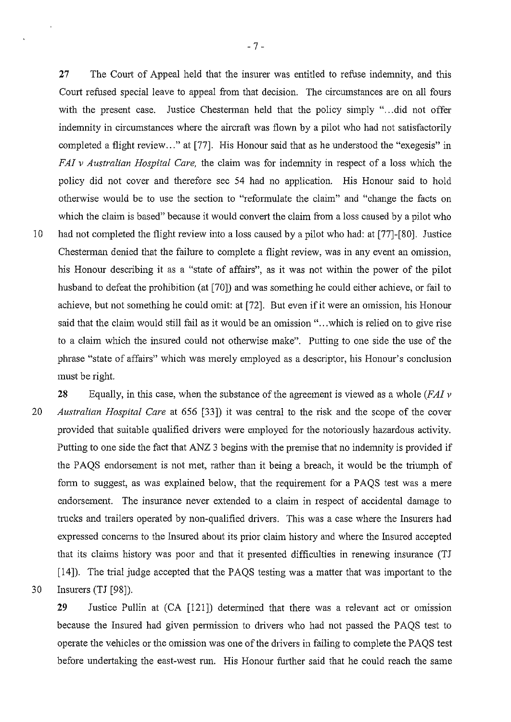27 The Court of Appeal held that the insurer was entitled to refuse indemnity, and this Court refused special leave to appeal from that decision. The circumstances are on all fours with the present case. Justice Chesterman held that the policy simply "... did not offer indemnity in circumstances where the aircraft was flown by a pilot who had not satisfactorily completed a flight review..." at [77]. His Honour said that as he understood the "exegesis" in *FA! v Australian Hospital Care,* the claim was for indemnity in respect of a loss which the policy did not cover and therefore sec 54 had no application. His Honour said to hold otherwise would be to use the section to "reformulate the claim" and "change the facts on which the claim is based" because it would convert the claim from a loss caused by a pilot who 10 had not completed the flight review into a loss caused by a pilot who had: at [77]-[80]. Justice Chestennan denied that the failure to complete a flight review, was in any event an omission, his Honour describing it as a "state of affairs", as it was not within the power of the pilot

husband to defeat the prohibition (at [70]) and was something he could either achieve, or fail to achieve, but not something he could omit: at [72]. But even if it were an omission, his Honour said that the claim would still fail as it would be an omission "...which is relied on to give rise to a claim which the insured could not otherwise make". Putting to one side the use of the phrase "state of affairs" which was merely employed as a descriptor, his Honour's conclusion must be right.

28 Equally, in this case, when the substance of the agreement is viewed as a whole *(FA! v*  20 *Australian Hospital Care* at 656 [33]) it was central to the risk and the scope of the cover provided that suitable qualified drivers were employed for the notoriously hazardous activity. Putting to one side the fact that ANZ 3 begins with the premise that no indemnity is provided if the PAQS endorsement is not met, rather than it being a breach, it would be the triumph of fonn to suggest, as was explained below, that the requirement for a PAQS test was a mere endorsement. The insurance never extended to a claim in respect of accidental damage to trucks and trailers operated by non-qualified drivers. This was a case where the Insurers had expressed concerns to the Insured about its prior claim history and where the Insured accepted that its claims history was poor and that it presented difficulties in renewing insurance (TJ [14]). The trial judge accepted that the PAQS testing was a matter that was important to the 30 Insurers (TJ [98]).

29 Justice Pullin at (CA [121]) determined that there was a relevant act or omission because the Insured had given permission to drivers who had not passed the PAQS test to operate the vehicles or the omission was one of the drivers in failing to complete the PAQS test before undertaking the east-west run. His Honour further said that he could reach the same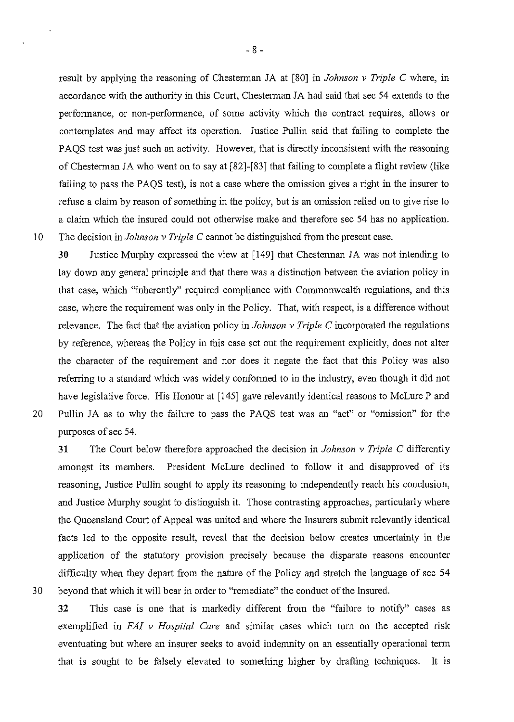result by applying the reasoning of Chesterman JA at [80] in *Johnson v Triple C* where, in accordance with the authority in this Court, Chesterman JA had said that sec 54 extends to the perfonnance, or non-perfonnance, of some activity which the contract requires, allows or contemplates and may affect its operation. Justice Pullin said that failing to complete the PAQS test was just such an activity. However, that is directly inconsistent with the reasoning of Chestennan JA who went on to say at [82]-[83] that failing to complete a flight review (like failing to pass the PAOS test), is not a case where the omission gives a right in the insurer to refuse a claim by reason of something in the policy, but is an omission relied on to give rise to a claim which the insured could not otherwise make and therefore sec 54 has no application. 10 The decision in *Johnson v Triple C* cannot be distinguished from the present case.

30 Justice Murphy expressed the view at [149] that Chestennan JA was not intending to lay down any general principle and that there was a distinction between the aviation policy in that case, which "inherently" required compliance with Commonwealth regulations, and this case, where the requirement was only in the Policy. That, with respect, is a difference without relevance. The fact that the aviation policy in *Johnson v Triple C* incorporated the regulations by reference, whereas the Policy in this case set out the requirement explicitly, does not alter the character of the requirement and nor does it negate the fact that this Policy was also referring to a standard which was widely conformed to in the industry, even though it did not have legislative force. His Honour at [145] gave relevantly identical reasons to McLure P and 20 Pullin JA as to why the failure to pass the PAQS test was an "act" or "omission" for the purposes of sec 54.

31 The Court below therefore approached the decision in *Johnson v Triple C* differently amongst its members. President McLure declined to follow it and disapproved of its reasoning, Justice Pullin sought to apply its reasoning to independently reach his conclusion, and Justice Murphy sought to distinguish it. Those contrasting approaches, particularly where the Queensland Court of Appeal was united and where the Insurers submit relevantly identical facts led to the opposite result, reveal that the decision below creates uncertainty in the application of the statutory provision precisely because the disparate reasons encounter difficulty when they depart from the nature of the Policy and stretch the language of sec 54 30 beyond that which it will bear in order to "remediate" the conduct of the Insured.

32 This case is one that is markedly different from the "failure to notify" cases as exemplified in *FA! v Hospital Care* and similar cases which tum on the accepted risk eventuating but where an insurer seeks to avoid indemnity on an essentially operational term that is sought to be falsely elevated to something higher by drafting teclmiques. It is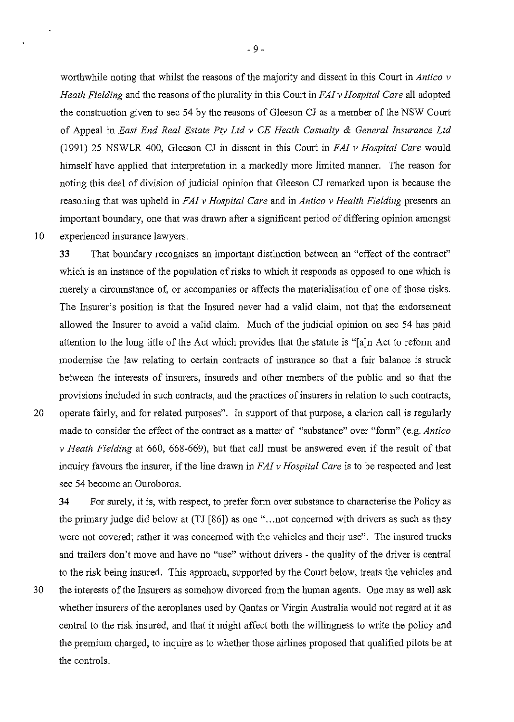worthwhile noting that whilst the reasons of the majority and dissent in this Court in *Antico v Heath Fielding* and the reasons of the plurality in this Court in *FA! v Hospital Care* all adopted the construction given to sec 54 by the reasons of Gleeson CJ as a member of the NSW Court of Appeal in *East End Real Estate Pty Ltd v CE Heath Casualty* & *General Insurance Ltd*  (1991) 25 NSWLR 400, Gleeson CJ in dissent in this Court in *FA/ v Hospital Care* would himself have applied that interpretation in a markedly more limited manner. The reason for noting this deal of division of judicial opinion that Gleeson CJ remarked upon is because the reasoning that was upheld in *FA! v Hospital Care* and in *Antico v Health Fielding* presents an important boundary, one that was drawn after a significant period of differing opinion amongst 10 experienced insurance lawyers.

33 That boundary recognises an important distinction between an "effect of the contract" which is an instance of the population of risks to which it responds as opposed to one which is merely a circumstance of, or accompanies or affects the materialisation of one of those risks. The Insurer's position is that the Insured never had a valid claim, not that the endorsement allowed the Insurer to avoid a valid claim. Much of the judicial opinion on sec 54 has paid attention to the long title of the Act which provides that the statute is "[a]n Act to refonn and modemise the law relating to certain contracts of insurance so that a fair balance is struck between the interests of insurers, insureds and other members of the public and so that the provisions included in such contracts, and the practices of insurers in relation to such contracts, 20 operate fairly, and for related purposes". In support of that purpose, a clarion call is regularly made to consider the effect of the contract as a matter of "substance" over "fonn" (e.g. *Antico v Heath Fielding* at 660, 668-669), but that call must be answered even if the result of that inquiry favours the insurer, if the line drawn in *FA! v Hospital Care* is to be respected and lest sec 54 become an Ouroboros.

34 For surely, it is, with respect, to prefer fonn over substance to characterise the Policy as the primary judge did below at (TJ [86]) as one "... not concerned with drivers as such as they were not covered; rather it was concemed with the vehicles and their use". The insured trucks and trailers don't move and have no "use" without drivers - the quality of the driver is central to the tisk being insured. This approach, supported by the Court below, treats the vehicles and 30 the interests of the Insurers as somehow divorced from the human agents. One may as well ask whether insurers of the aeroplanes used by Qantas or Virgin Australia would not regard at it as central to the risk insured, and that it might affect both the willingness to write the policy and the premium charged, to inquire as to whether those airlines proposed that qualified pilots be at the controls.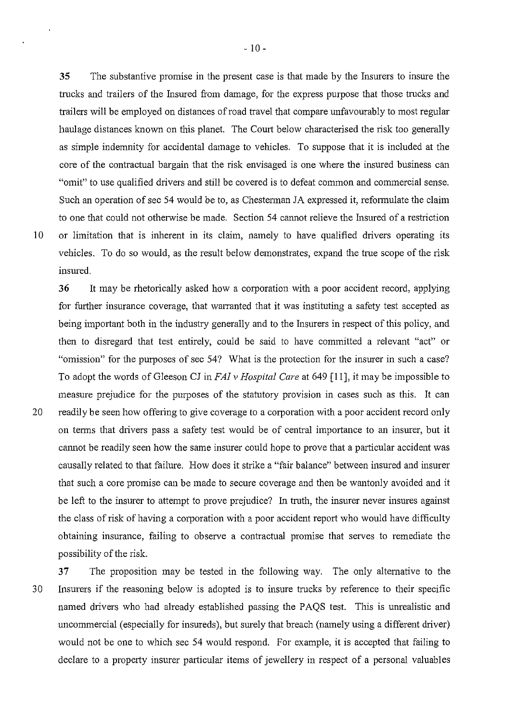35 The substantive promise in the present case is that made by the Insurers to insure the trucks and trailers of the Insured from damage, for the express purpose that those trucks and trailers will be employed on distances of road travel that compare unfavourably to most regular haulage distances known on this planet. The Court below characterised the risk too generally as simple indemnity for accidental damage to vehicles. To suppose that it is included at the core of the contractual bargain that the risk envisaged is one where the insured business can "omit" to use qualified drivers and still be covered is to defeat common and commercial sense. Such an operation of sec 54 would be to, as Chesterman JA expressed it, refonnulate the claim to one that could not otherwise be made. Section 54 cannot relieve the Insured of a restriction 10 or limitation that is inherent in its claim, namely to have qualified drivers operating its vehicles. To do so would, as the result below demonstrates, expand the true scope of the risk insured.

36 It may be rhetorically asked how a corporation with a poor accident record, applying for further insurance coverage, that warranted that it was instituting a safety test accepted as being important both in the industry generally and to the Insurers in respect of this policy, and then to disregard that test entirely, could be said to have committed a relevant "act" or "omission" for the purposes of sec 54? What is the protection for the insurer in such a case? To adopt the words of Gleeson CJ in *FAI v Hospital Care* at 649 [II], it may be impossible to measure prejudice for the purposes of the statutory provision in cases such as this. It can 20 readily be seen how offering to give coverage to a corporation with a poor accident record only on terms that drivers pass a safety test would be of central importance to an insurer, but it cannot be readily seen how the same insurer could hope to prove that a particular accident was causally related to that failure. How does it strike a "fair balance" between insured and insurer that such a core promise can be made to secure coverage and then be wantonly avoided and it be left to the insurer to attempt to prove prejudice? In truth, the insurer never insures against the class of risk of having a corporation with a poor accident report who would have difficulty obtaining insurance, failing to observe a contractual promise that serves to remediate the possibility of the risk.

37 The proposition may be tested in the following way. The only alternative to the 3 0 Insurers if the reasoning below is adopted is to insure trucks by reference to their specific named drivers who had already established passing the PAQS test. This is unrealistic and uncommercial (especially for insureds), but surely that breach (namely using a different driver) would not be one to which sec 54 would respond. For example, it is accepted that failing to declare to a property insurer particular items of jewellery in respect of a personal valuables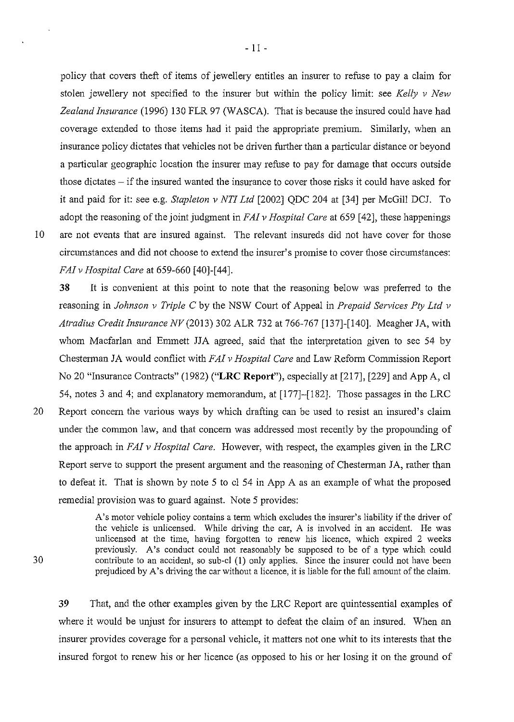policy that covers theft of items of jewellery entitles an insurer to refuse to pay a claim for stolen jewellery not specified to the insurer but within the policy limit: see *Kelly v New Zealand Insurance* (1996) 130 FLR 97 (W ASCA). That is because the insured could have had coverage extended to those items had it paid the appropriate premium. Similarly, when an insurance policy dictates that vehicles not be driven further than a particular distance or beyond a particular geographic location the insurer may refuse to pay for damage that occurs outside those dictates  $-$  if the insured wanted the insurance to cover those risks it could have asked for it and paid for it: see e.g. *Stapleton v NT! Ltd* [2002] QDC 204 at [34] per McGill DCJ. To adopt the reasoning of the joint judgment in *FAI v Hospital Care* at 659 [42], these happenings 10 are not events that are insured against. The relevant insureds did not have cover for those circumstances and did not choose to extend the insurer's promise to cover those circumstances:

38 It is convenient at this point to note that the reasoning below was preferred to the reasoning in *Johnson v Triple C* by the NSW Court of Appeal in *Prepaid Services Pty Ltd v Atradius Credit Insurance NV(2013)* 302 ALR 732 at 766-767 [137]-[140]. Meagher JA, with whom Macfarlan and Emmett JJA agreed, said that the interpretation given to sec 54 by Chestennan JA would conflict with *FA! v Hospital Care* and Law Reform Commission Report No 20 "Insurance Contracts" (1982) **("LRC Report"),** especially at [217], [229] and App A, cl 54, notes 3 and 4; and explanatory memorandum, at [177]-[182]. Those passages in the LRC 20 Report concem the various ways by which drafting can be used to resist an insured's claim under the common law, and that concem was addressed most recently by the propounding of the approach in *FA! v Hospital Care.* However, with respect, the examples given in the LRC Report serve to support the present argument and the reasoning of Chesterman JA, rather than to defeat it. That is shown by note 5 to cl 54 in App A as an example of what the proposed remedial provision was to guard against. Note 5 provides:

*FA!v Hospital Care* at 659-660 [40]-[44].

A's motor vehicle policy contains a term which excludes the insurer's liability if the driver of the vehicle is unlicensed. While driving the car, A is involved in an accident. He was unlicensed at the time, having forgotten to renew his licence, which expired 2 weeks previously. A's conduct conld not reasonably be supposed to be of a type which could contribute to an accident, so sub-cl (1) only applies. Since the insurer could not have been prejudiced by A's driving the car without a licence, it is liable for the full amount of the claim.

39 That, and the other examples given by the LRC Repoti are quintessential examples of where it would be unjust for insurers to attempt to defeat the claim of an insured. When an insurer provides coverage for a personal vehicle, it matters not one whit to its interests that the insured forgot to renew his or her licence (as opposed to his or her losing it on the ground of

- II -

30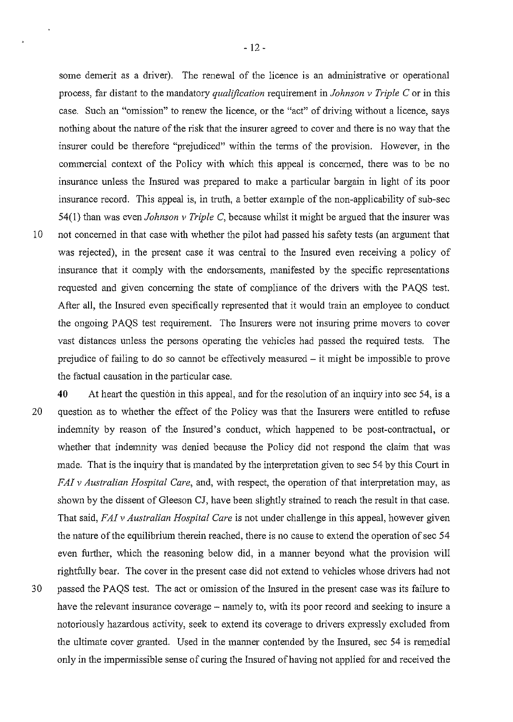some demerit as a driver). The renewal of the licence is an administrative or operational process, far distant to the mandatory *qualification* requirement in *Johnson v Triple* Cor in this case. Such an "omission" to renew the licence, or the "act" of driving without a licence, says nothing about the nature of the risk that the insurer agreed to cover and there is no way that the insurer could be therefore "prejudiced" within the terms of the provision. However, in the commercial context of the Policy with which this appeal is concerned, there was to be no insurance unless the Insured was prepared to make a particular bargain in light of its poor insurance record. This appeal is, in truth, a better example of the non-applicability of sub-sec 54(1) than was even *Johnson v Triple* C, because whilst it might be argued that the insurer was 10 not concerned in that case with whether the pilot had passed his safety tests (an argument that was rejected), in the present case it was central to the Insured even receiving a policy of insurance that it comply with the endorsements, manifested by the specific representations requested and given concerning the state of compliance of the drivers with the PAQS test. After all, the Insured even specifically represented that it would train an employee to conduct the ongoing PAQS test requirement. The Insurers were not insuring prime movers to cover vast distances unless the persons operating the vehicles had passed the required tests. The prejudice of failing to do so cannot be effectively measured  $-$  it might be impossible to prove the factual causation in the particular case.

40 At heart the question in this appeal, and for the resolution of an inquiry into sec 54, is a 20 question as to whether the effect of the Policy was that the Insurers were entitled to refuse indemnity by reason of the Insured's conduct, which happened to be post-contractual, or whether that indemnity was denied because the Policy did not respond the claim that was made. That is the inquiry that is mandated by the interpretation given to sec 54 by this Court in *FA! v Australian Hospital Care,* and, with respect, the operation of that interpretation may, as shown by the dissent of Gleeson CJ, have been slightly strained to reach the result in that case. That said, *FA! v Australian Hospital Care* is not under challenge in this appeal, however given the nature of the equilibrium therein reached, there is no cause to extend the operation of sec 54 even further, which the reasoning below did, in a manner beyond what the provision will rightfully bear. The cover in the present case did not extend to vehicles whose drivers had not 30 passed the PAQS test. The act or omission of the Insured in the present case was its failure to have the relevant insurance coverage – namely to, with its poor record and seeking to insure a notoriously hazardous activity, seek to extend its coverage to drivers expressly excluded from the ultimate cover granted. Used in the manner contended by the Insured, sec 54 is remedial only in the impennissible sense of curing the Insured of having not applied for and received the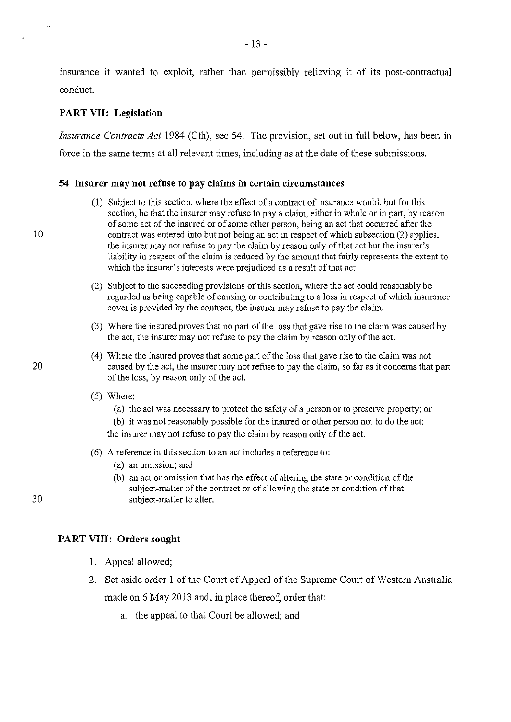msurance it wanted to exploit, rather than permissibly relieving it of its post-contractual conduct.

### **PART VII: Legislation**

*Insurance Contracts Act* 1984 (Cth), sec 54. The provision, set out in full below, has been in force in the same tenns at all relevant times, including as at the date of these submissions.

#### **54 Insurer may not refuse to pay claims in certain circumstances**

- (!) Subject to this section, where the effect of a contract of insurance would, but for this section, be that the insurer may refuse to pay a claim, either in whole or in part, by reason of some act of the insured or of some other person, being an act that occurred after the contract was entered into but not being an act in respect of which subsection (2) applies, the insurer may not refuse to pay the claim by reason only of that act but the insurer's liability in respect of the claim is reduced by the amount that fairly represents the extent to which the insurer's interests were prejudiced as a result of that act.
- (2) Subject to the succeeding provisions of this section, where the act could reasonably be regarded as being capable of causing or contributing to a loss in respect of which insurance cover is provided by the contract, the insurer may refuse to pay the claim.
- (3) Where the insured proves that no part of the loss that gave rise to the claim was caused by the act, the insurer may not refuse to pay the claim by reason only of the act.
- (4) Where the insured proves that some part of the loss that gave rise to the claim was not caused by the act, the insurer may not refuse to pay the claim, so far as it concerns that part of the loss, by reason only of the act.
- (5) Where:
	- (a) the act was necessary to protect the safety of a person or to preserve property; or
	- (b) it was not reasonably possible for the insured or other person not to do the act; the insurer may not refuse to pay the claim by reason only of the act.
- ( 6) A reference in this section to an act includes a reference to:
	- (a) an omission; and
	- (b) an act or omission that has the effect of altering the state or condition of the subject-matter of the contract or of allowing the state or condition of that subject-matter to alter.

#### **PART VIII: Orders sought**

- 1. Appeal allowed;
- 2. Set aside order 1 of the Court of Appeal of the Supreme Court of Western Australia made on 6 May 2013 and, in place thereof, order that:
	- a. the appeal to that Court be allowed; and

20

10

30